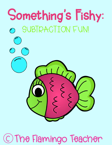

## C) The Flamingo Teacher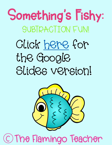Something's Fishy: SUBTPACTION FUN!

# Click here for the Google Slides version!



## C) The Flamingo Teacher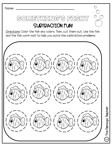Name:

#### METHEMG'S FESI SUBTRACTION FUN!

 $\bigcap$ 

 $\mathbb{C}$ 

#### Directions: Color the fish any colors. Then, cut them out. Use the fish and the fish work mat to help you solve the subtraction problems.

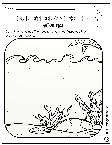|  | Name: |  |  |  |
|--|-------|--|--|--|
|--|-------|--|--|--|



#### WORK MAT

Color the work mat. Then, use it to help you figure out the subtraction problems..



The Flamingo Teacher The Flamingo Teacher

 $\bigcirc$ 

 $\bigcirc$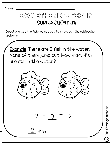Name:

#### SOMETHING'S FISHY SUBTRACTION FUN!

Directions: Use the fish you cut out to figure out the subtraction problems.

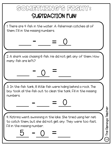## Something's fishy: SUBTRACTION FUN!

1. There are 4 fish in the water. A fisherman catches all of them. Fill in the missing numbers.

 $-$ 

 $\circ$  =

0

2. A shark was chasing 6 fish. He did not get any of them. How many fish are left?

0

3. In the fish tank, 8 little fish were hiding behind a rock. The boy took all the fish out to clean the tank. Fill in the missing numbers.  $-$  = <u>0</u>

4. Katrina went swimming in the lake. She tried using her net to catch them, but she did not get any. They were too fast. Fill in the missing number.

 $\frac{5 - 0}{5}$  =

The Flamingo Teacher The Flamingo Teacher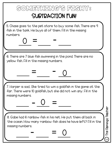## Something's fishy: SUBTRACTION FUN!

5. Chase goes to the pet store to buy some fish. There are 9 fish in the tank. He buys all of them. Fill in the missing numbers.  $=$   $-$ 0

6. There are 7 blue fish swimming in the pond. There are no yellow fish. Fill in the missing numbers.

 $=$   $-$ 

7. Harper is sad.. She tried to win a goldfish in the game at the fair. There were 10 goldfish, but she did not win any. Fill in the missing numbers.  $- 0 =$ 

0

0

8. Gabe had 6 rainbow fish in his net. He put them all back in the ocean. How many rainbow fish does he have left? Fill in the missing numbers. - =

The Flamingo Teacher

The Flamingo Teacher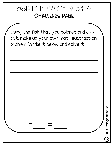### Something's fishy: CHALLENGE PAGE

Using the fish that you colored and cut out, make up your own math subtraction problem. Write it below and solve it.